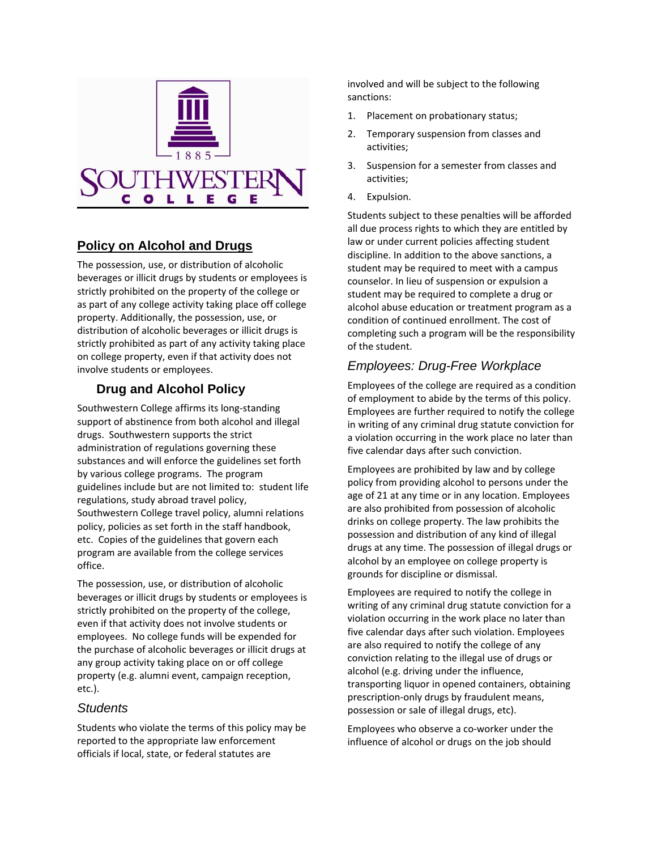

## **Policy on Alcohol and Drugs**

The possession, use, or distribution of alcoholic beverages or illicit drugs by students or employees is strictly prohibited on the property of the college or as part of any college activity taking place off college property. Additionally, the possession, use, or distribution of alcoholic beverages or illicit drugs is strictly prohibited as part of any activity taking place on college property, even if that activity does not involve students or employees.

## **Drug and Alcohol Policy**

Southwestern College affirms its long‐standing support of abstinence from both alcohol and illegal drugs. Southwestern supports the strict administration of regulations governing these substances and will enforce the guidelines set forth by various college programs. The program guidelines include but are not limited to: student life regulations, study abroad travel policy, Southwestern College travel policy, alumni relations policy, policies as set forth in the staff handbook, etc. Copies of the guidelines that govern each program are available from the college services office.

The possession, use, or distribution of alcoholic beverages or illicit drugs by students or employees is strictly prohibited on the property of the college, even if that activity does not involve students or employees. No college funds will be expended for the purchase of alcoholic beverages or illicit drugs at any group activity taking place on or off college property (e.g. alumni event, campaign reception, etc.).

#### *Students*

Students who violate the terms of this policy may be reported to the appropriate law enforcement officials if local, state, or federal statutes are

involved and will be subject to the following sanctions:

- 1. Placement on probationary status;
- 2. Temporary suspension from classes and activities;
- 3. Suspension for a semester from classes and activities;
- 4. Expulsion.

Students subject to these penalties will be afforded all due process rights to which they are entitled by law or under current policies affecting student discipline. In addition to the above sanctions, a student may be required to meet with a campus counselor. In lieu of suspension or expulsion a student may be required to complete a drug or alcohol abuse education or treatment program as a condition of continued enrollment. The cost of completing such a program will be the responsibility of the student.

# *Employees: Drug-Free Workplace*

Employees of the college are required as a condition of employment to abide by the terms of this policy. Employees are further required to notify the college in writing of any criminal drug statute conviction for a violation occurring in the work place no later than five calendar days after such conviction.

Employees are prohibited by law and by college policy from providing alcohol to persons under the age of 21 at any time or in any location. Employees are also prohibited from possession of alcoholic drinks on college property. The law prohibits the possession and distribution of any kind of illegal drugs at any time. The possession of illegal drugs or alcohol by an employee on college property is grounds for discipline or dismissal.

Employees are required to notify the college in writing of any criminal drug statute conviction for a violation occurring in the work place no later than five calendar days after such violation. Employees are also required to notify the college of any conviction relating to the illegal use of drugs or alcohol (e.g. driving under the influence, transporting liquor in opened containers, obtaining prescription‐only drugs by fraudulent means, possession or sale of illegal drugs, etc).

Employees who observe a co‐worker under the influence of alcohol or drugs on the job should